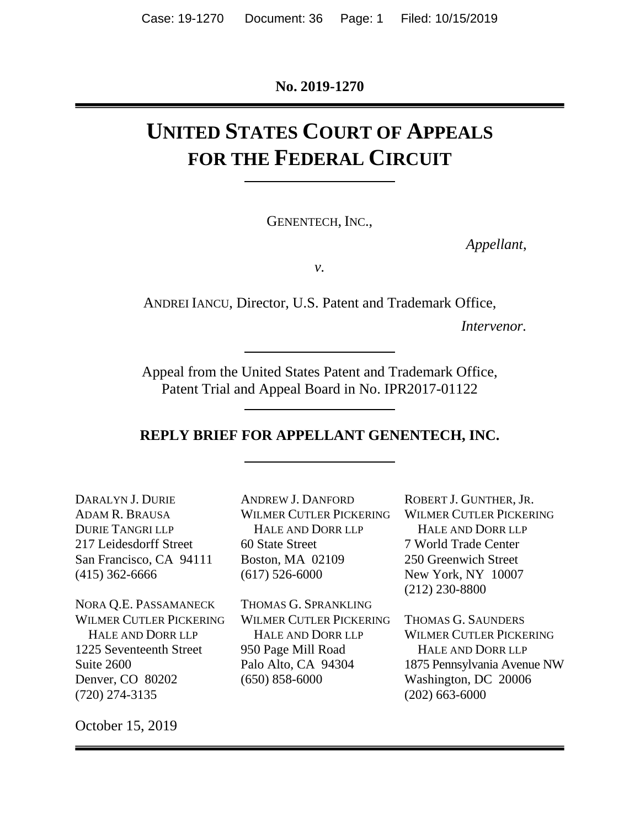**No. 2019-1270**

# **UNITED STATES COURT OF APPEALS FOR THE FEDERAL CIRCUIT**

GENENTECH, INC.,

*Appellant*,

*v.*

ANDREI IANCU, Director, U.S. Patent and Trademark Office,

*Intervenor.*

Appeal from the United States Patent and Trademark Office, Patent Trial and Appeal Board in No. IPR2017-01122

#### **REPLY BRIEF FOR APPELLANT GENENTECH, INC.**

DARALYN J. DURIE ADAM R. BRAUSA DURIE TANGRI LLP 217 Leidesdorff Street San Francisco, CA 94111 (415) 362-6666

NORA Q.E. PASSAMANECK WILMER CUTLER PICKERING HALE AND DORR LLP 1225 Seventeenth Street Suite 2600 Denver, CO 80202 (720) 274-3135

ANDREW J. DANFORD WILMER CUTLER PICKERING HALE AND DORR LLP 60 State Street Boston, MA 02109 (617) 526-6000

THOMAS G. SPRANKLING WILMER CUTLER PICKERING HALE AND DORR LLP 950 Page Mill Road Palo Alto, CA 94304 (650) 858-6000

ROBERT J. GUNTHER, JR. WILMER CUTLER PICKERING HALE AND DORR LLP 7 World Trade Center 250 Greenwich Street New York, NY 10007 (212) 230-8800

THOMAS G. SAUNDERS WILMER CUTLER PICKERING HALE AND DORR LLP 1875 Pennsylvania Avenue NW Washington, DC 20006 (202) 663-6000

October 15, 2019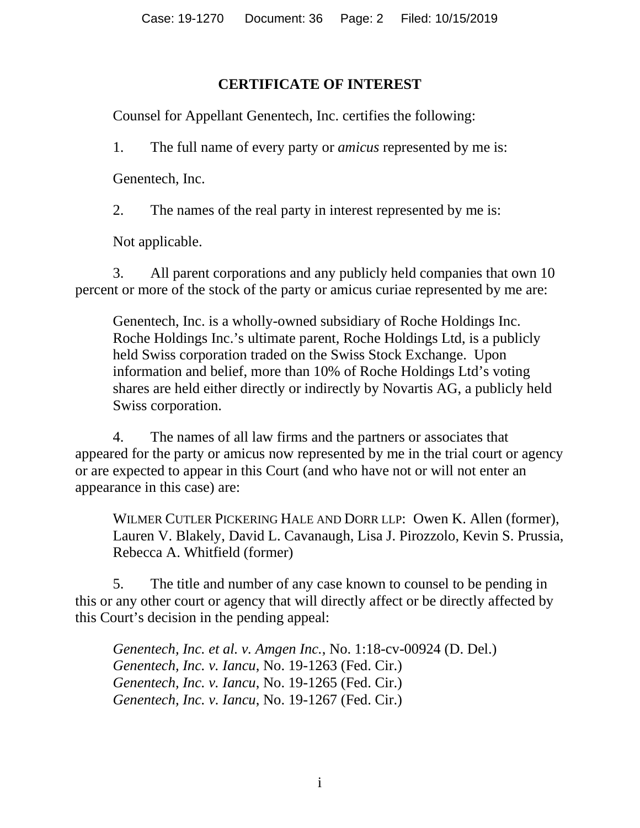## **CERTIFICATE OF INTEREST**

<span id="page-1-0"></span>Counsel for Appellant Genentech, Inc. certifies the following:

1. The full name of every party or *amicus* represented by me is:

Genentech, Inc.

2. The names of the real party in interest represented by me is:

Not applicable.

3. All parent corporations and any publicly held companies that own 10 percent or more of the stock of the party or amicus curiae represented by me are:

Genentech, Inc. is a wholly-owned subsidiary of Roche Holdings Inc. Roche Holdings Inc.'s ultimate parent, Roche Holdings Ltd, is a publicly held Swiss corporation traded on the Swiss Stock Exchange. Upon information and belief, more than 10% of Roche Holdings Ltd's voting shares are held either directly or indirectly by Novartis AG, a publicly held Swiss corporation.

4. The names of all law firms and the partners or associates that appeared for the party or amicus now represented by me in the trial court or agency or are expected to appear in this Court (and who have not or will not enter an appearance in this case) are:

WILMER CUTLER PICKERING HALE AND DORR LLP: Owen K. Allen (former), Lauren V. Blakely, David L. Cavanaugh, Lisa J. Pirozzolo, Kevin S. Prussia, Rebecca A. Whitfield (former)

5. The title and number of any case known to counsel to be pending in this or any other court or agency that will directly affect or be directly affected by this Court's decision in the pending appeal:

*Genentech, Inc. et al. v. Amgen Inc.*, No. 1:18-cv-00924 (D. Del.) *Genentech, Inc. v. Iancu*, No. 19-1263 (Fed. Cir.) *Genentech, Inc. v. Iancu*, No. 19-1265 (Fed. Cir.) *Genentech, Inc. v. Iancu*, No. 19-1267 (Fed. Cir.)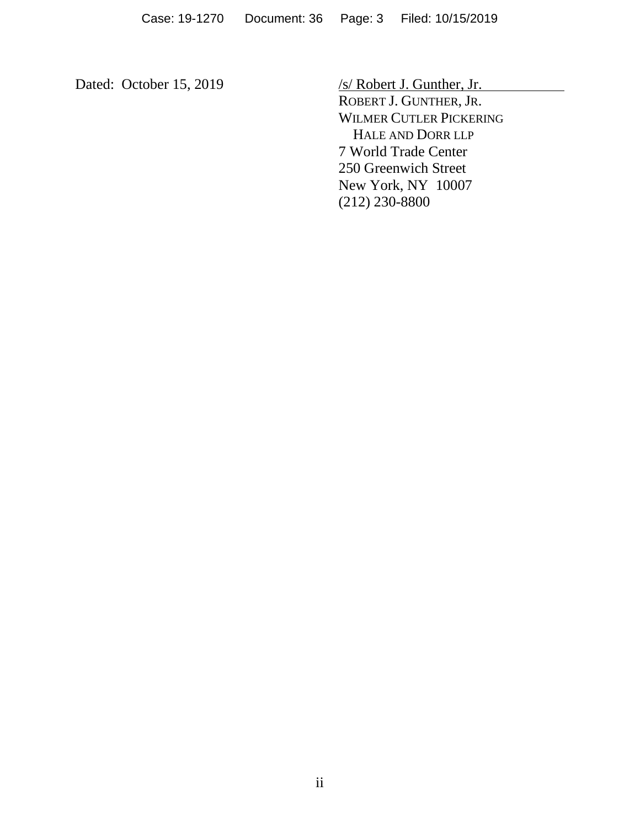Dated: October 15, 2019 /s/ Robert J. Gunther, Jr. ROBERT J. GUNTHER, JR. WILMER CUTLER PICKERING HALE AND DORR LLP 7 World Trade Center 250 Greenwich Street New York, NY 10007 (212) 230-8800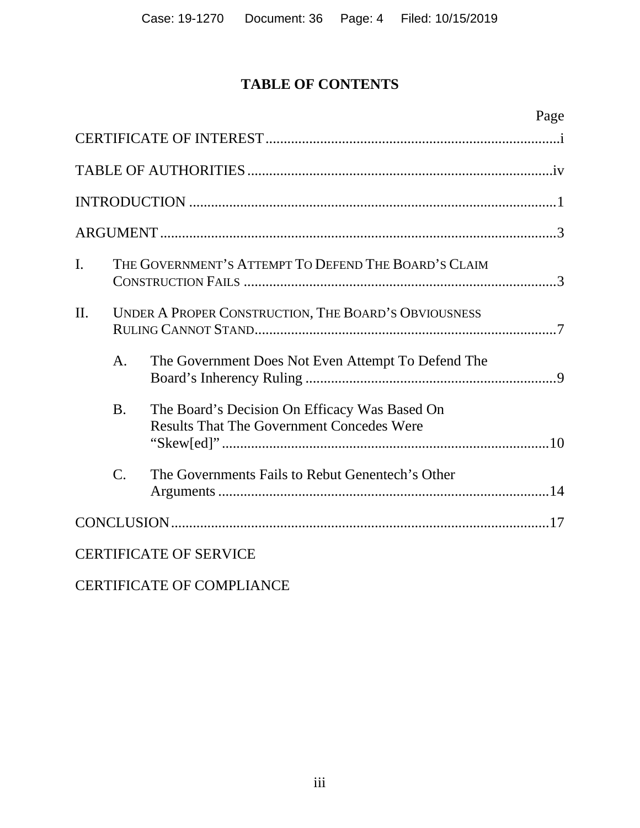## **TABLE OF CONTENTS**

|                |                                                      |                                                                                                   | Page |
|----------------|------------------------------------------------------|---------------------------------------------------------------------------------------------------|------|
|                |                                                      |                                                                                                   |      |
|                |                                                      |                                                                                                   |      |
|                |                                                      |                                                                                                   |      |
|                |                                                      |                                                                                                   |      |
| $\mathbf{I}$ . | THE GOVERNMENT'S ATTEMPT TO DEFEND THE BOARD'S CLAIM |                                                                                                   |      |
| II.            | UNDER A PROPER CONSTRUCTION, THE BOARD'S OBVIOUSNESS |                                                                                                   |      |
|                | A <sub>1</sub>                                       | The Government Does Not Even Attempt To Defend The                                                |      |
|                | <b>B.</b>                                            | The Board's Decision On Efficacy Was Based On<br><b>Results That The Government Concedes Were</b> |      |
|                | $\mathcal{C}$ .                                      | The Governments Fails to Rebut Genentech's Other                                                  |      |
|                |                                                      |                                                                                                   |      |
|                |                                                      | <b>CERTIFICATE OF SERVICE</b>                                                                     |      |

CERTIFICATE OF COMPLIANCE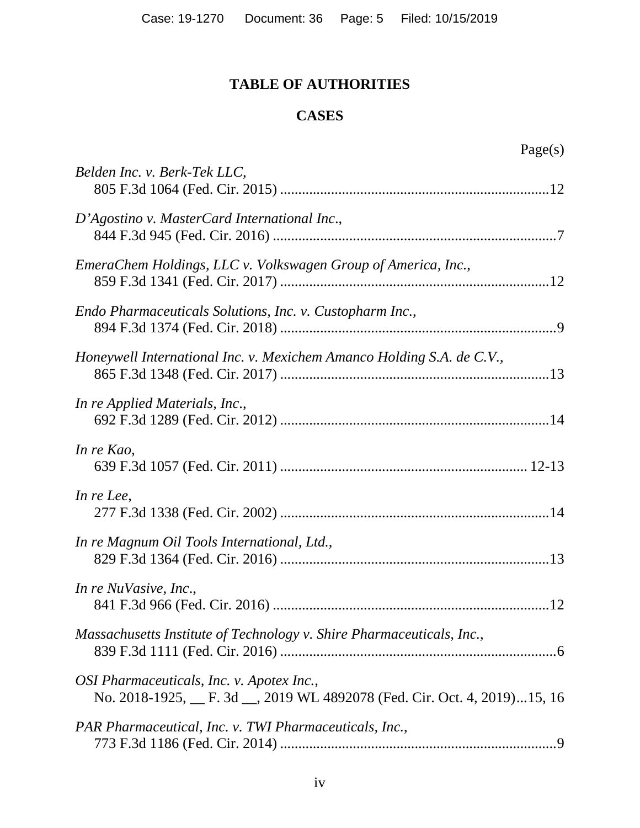# **TABLE OF AUTHORITIES**

## **CASES**

<span id="page-4-0"></span>

| Belden Inc. v. Berk-Tek LLC,                                                                                         |
|----------------------------------------------------------------------------------------------------------------------|
| D'Agostino v. MasterCard International Inc.,                                                                         |
| EmeraChem Holdings, LLC v. Volkswagen Group of America, Inc.,                                                        |
| Endo Pharmaceuticals Solutions, Inc. v. Custopharm Inc.,                                                             |
| Honeywell International Inc. v. Mexichem Amanco Holding S.A. de C.V.,                                                |
| In re Applied Materials, Inc.,                                                                                       |
| In re Kao,                                                                                                           |
| In re Lee,                                                                                                           |
| In re Magnum Oil Tools International, Ltd.,                                                                          |
| In re NuVasive, Inc.,                                                                                                |
| Massachusetts Institute of Technology v. Shire Pharmaceuticals, Inc.,                                                |
| OSI Pharmaceuticals, Inc. v. Apotex Inc.,<br>No. 2018-1925, F. 3d St. 2019 WL 4892078 (Fed. Cir. Oct. 4, 2019)15, 16 |
| PAR Pharmaceutical, Inc. v. TWI Pharmaceuticals, Inc.,                                                               |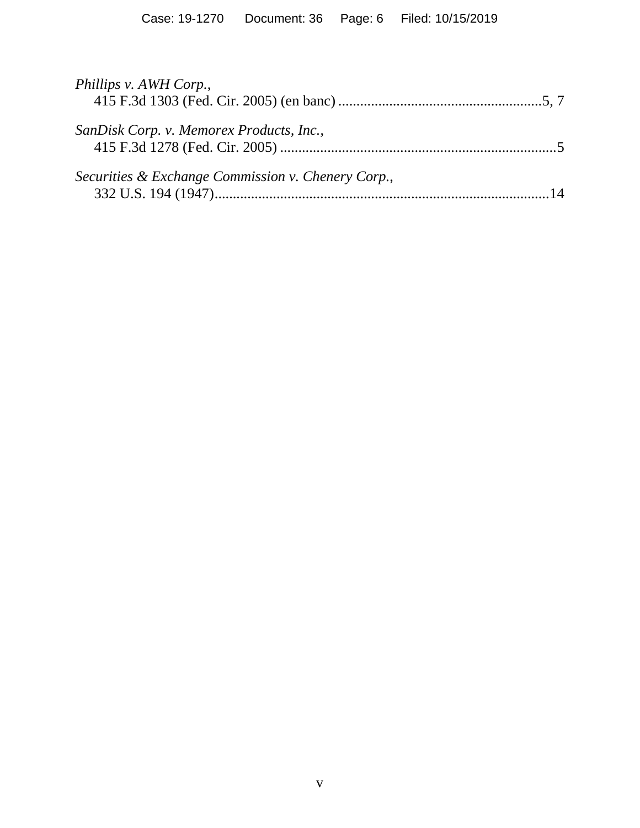| Phillips v. AWH Corp.,                             |  |
|----------------------------------------------------|--|
| SanDisk Corp. v. Memorex Products, Inc.,           |  |
| Securities & Exchange Commission v. Chenery Corp., |  |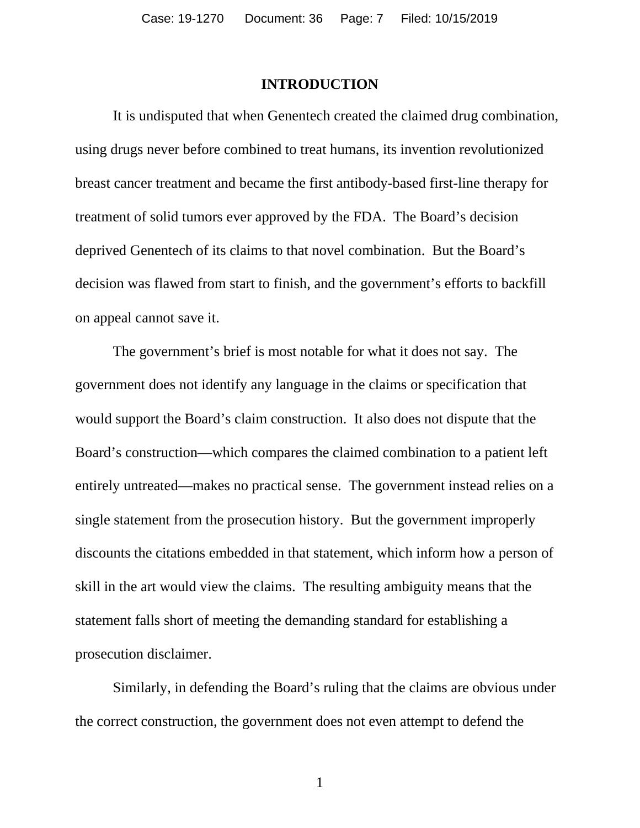#### **INTRODUCTION**

<span id="page-6-0"></span>It is undisputed that when Genentech created the claimed drug combination, using drugs never before combined to treat humans, its invention revolutionized breast cancer treatment and became the first antibody-based first-line therapy for treatment of solid tumors ever approved by the FDA. The Board's decision deprived Genentech of its claims to that novel combination. But the Board's decision was flawed from start to finish, and the government's efforts to backfill on appeal cannot save it.

The government's brief is most notable for what it does not say. The government does not identify any language in the claims or specification that would support the Board's claim construction. It also does not dispute that the Board's construction—which compares the claimed combination to a patient left entirely untreated—makes no practical sense. The government instead relies on a single statement from the prosecution history. But the government improperly discounts the citations embedded in that statement, which inform how a person of skill in the art would view the claims. The resulting ambiguity means that the statement falls short of meeting the demanding standard for establishing a prosecution disclaimer.

Similarly, in defending the Board's ruling that the claims are obvious under the correct construction, the government does not even attempt to defend the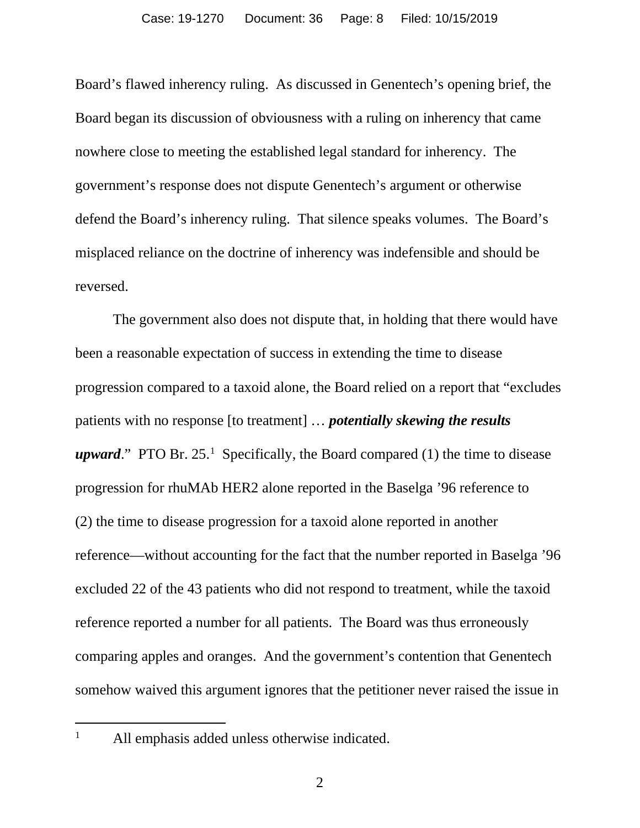Board's flawed inherency ruling. As discussed in Genentech's opening brief, the Board began its discussion of obviousness with a ruling on inherency that came nowhere close to meeting the established legal standard for inherency. The government's response does not dispute Genentech's argument or otherwise defend the Board's inherency ruling. That silence speaks volumes. The Board's misplaced reliance on the doctrine of inherency was indefensible and should be reversed.

The government also does not dispute that, in holding that there would have been a reasonable expectation of success in extending the time to disease progression compared to a taxoid alone, the Board relied on a report that "excludes patients with no response [to treatment] … *potentially skewing the results*  upward." PTO Br. 25.<sup>[1](#page-7-0)</sup> Specifically, the Board compared (1) the time to disease progression for rhuMAb HER2 alone reported in the Baselga '96 reference to (2) the time to disease progression for a taxoid alone reported in another reference—without accounting for the fact that the number reported in Baselga '96 excluded 22 of the 43 patients who did not respond to treatment, while the taxoid reference reported a number for all patients. The Board was thus erroneously comparing apples and oranges. And the government's contention that Genentech somehow waived this argument ignores that the petitioner never raised the issue in

<span id="page-7-0"></span><sup>&</sup>lt;sup>1</sup> All emphasis added unless otherwise indicated.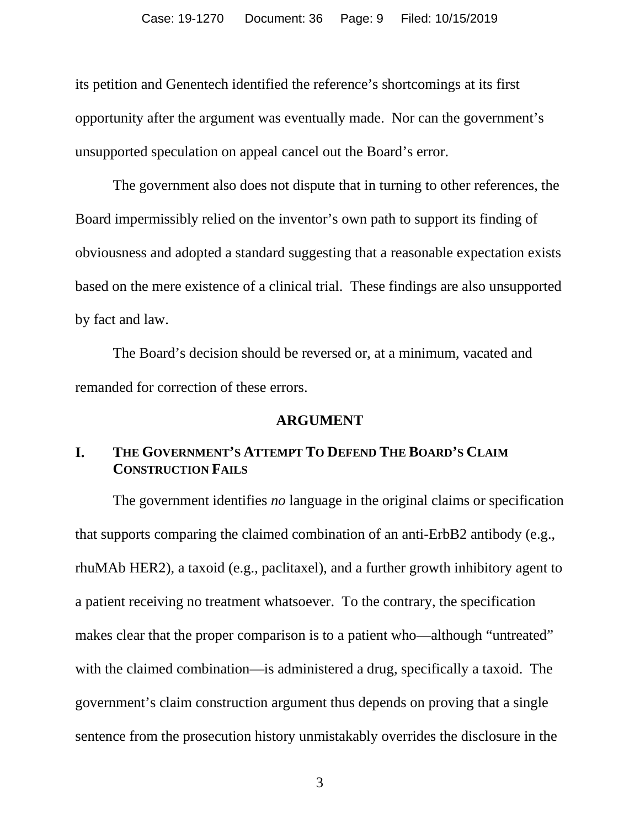its petition and Genentech identified the reference's shortcomings at its first opportunity after the argument was eventually made. Nor can the government's unsupported speculation on appeal cancel out the Board's error.

The government also does not dispute that in turning to other references, the Board impermissibly relied on the inventor's own path to support its finding of obviousness and adopted a standard suggesting that a reasonable expectation exists based on the mere existence of a clinical trial. These findings are also unsupported by fact and law.

The Board's decision should be reversed or, at a minimum, vacated and remanded for correction of these errors.

#### **ARGUMENT**

## <span id="page-8-1"></span><span id="page-8-0"></span>**I. THE GOVERNMENT'S ATTEMPT TO DEFEND THE BOARD'S CLAIM CONSTRUCTION FAILS**

The government identifies *no* language in the original claims or specification that supports comparing the claimed combination of an anti-ErbB2 antibody (e.g., rhuMAb HER2), a taxoid (e.g., paclitaxel), and a further growth inhibitory agent to a patient receiving no treatment whatsoever. To the contrary, the specification makes clear that the proper comparison is to a patient who—although "untreated" with the claimed combination—is administered a drug, specifically a taxoid. The government's claim construction argument thus depends on proving that a single sentence from the prosecution history unmistakably overrides the disclosure in the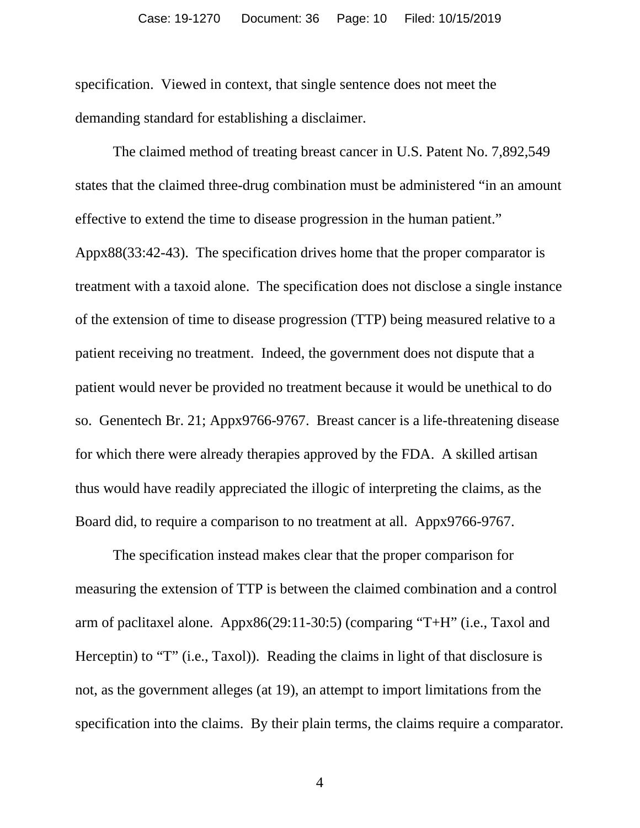specification. Viewed in context, that single sentence does not meet the demanding standard for establishing a disclaimer.

The claimed method of treating breast cancer in U.S. Patent No. 7,892,549 states that the claimed three-drug combination must be administered "in an amount effective to extend the time to disease progression in the human patient." Appx88(33:42-43). The specification drives home that the proper comparator is treatment with a taxoid alone. The specification does not disclose a single instance of the extension of time to disease progression (TTP) being measured relative to a patient receiving no treatment. Indeed, the government does not dispute that a patient would never be provided no treatment because it would be unethical to do so. Genentech Br. 21; Appx9766-9767. Breast cancer is a life-threatening disease for which there were already therapies approved by the FDA. A skilled artisan thus would have readily appreciated the illogic of interpreting the claims, as the Board did, to require a comparison to no treatment at all. Appx9766-9767.

The specification instead makes clear that the proper comparison for measuring the extension of TTP is between the claimed combination and a control arm of paclitaxel alone. Appx86(29:11-30:5) (comparing "T+H" (i.e., Taxol and Herceptin) to "T" (i.e., Taxol)). Reading the claims in light of that disclosure is not, as the government alleges (at 19), an attempt to import limitations from the specification into the claims. By their plain terms, the claims require a comparator.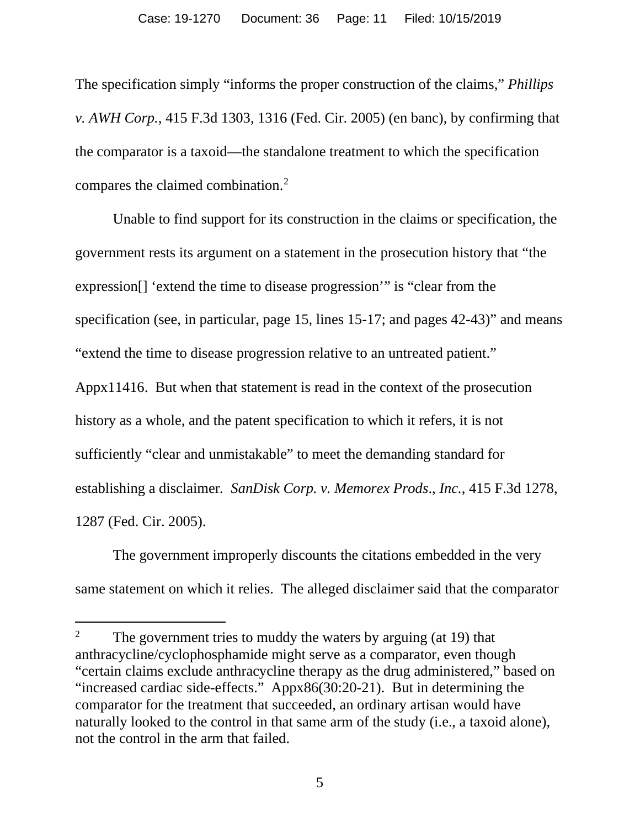The specification simply "informs the proper construction of the claims," *Phillips v. AWH Corp.*, 415 F.3d 1303, 1316 (Fed. Cir. 2005) (en banc), by confirming that the comparator is a taxoid—the standalone treatment to which the specification compares the claimed combination.[2](#page-10-0)

Unable to find support for its construction in the claims or specification, the government rests its argument on a statement in the prosecution history that "the expression[] 'extend the time to disease progression'" is "clear from the specification (see, in particular, page 15, lines 15-17; and pages 42-43)" and means "extend the time to disease progression relative to an untreated patient." Appx11416. But when that statement is read in the context of the prosecution history as a whole, and the patent specification to which it refers, it is not sufficiently "clear and unmistakable" to meet the demanding standard for establishing a disclaimer*. SanDisk Corp. v. Memorex Prods*.*, Inc.*, 415 F.3d 1278, 1287 (Fed. Cir. 2005).

The government improperly discounts the citations embedded in the very same statement on which it relies. The alleged disclaimer said that the comparator

<span id="page-10-0"></span><sup>&</sup>lt;sup>2</sup> The government tries to muddy the waters by arguing (at 19) that anthracycline/cyclophosphamide might serve as a comparator, even though "certain claims exclude anthracycline therapy as the drug administered," based on "increased cardiac side-effects." Appx86(30:20-21). But in determining the comparator for the treatment that succeeded, an ordinary artisan would have naturally looked to the control in that same arm of the study (i.e., a taxoid alone), not the control in the arm that failed.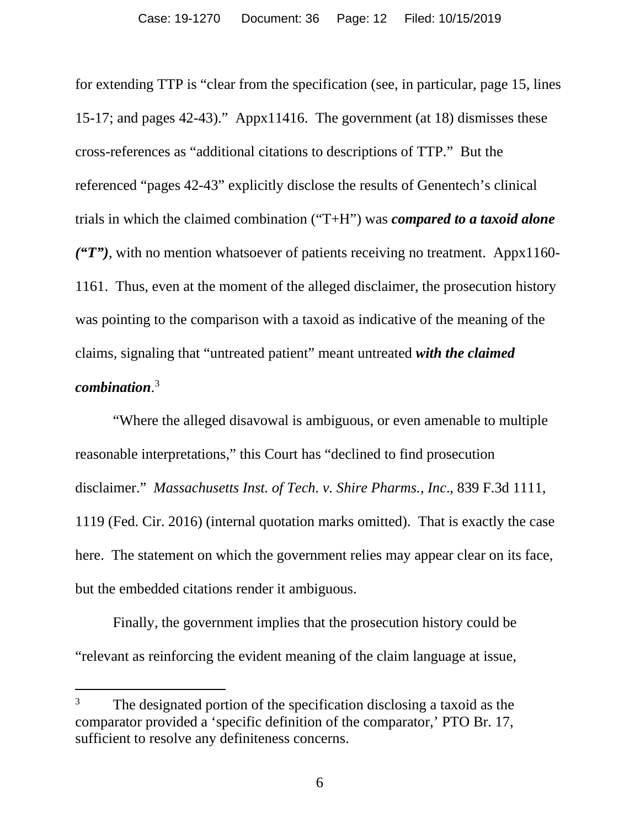for extending TTP is "clear from the specification (see, in particular, page 15, lines 15-17; and pages 42-43)." Appx11416. The government (at 18) dismisses these cross-references as "additional citations to descriptions of TTP." But the referenced "pages 42-43" explicitly disclose the results of Genentech's clinical trials in which the claimed combination ("T+H") was *compared to a taxoid alone ("T")*, with no mention whatsoever of patients receiving no treatment. Appx1160- 1161. Thus, even at the moment of the alleged disclaimer, the prosecution history was pointing to the comparison with a taxoid as indicative of the meaning of the claims, signaling that "untreated patient" meant untreated *with the claimed combination*. [3](#page-11-0)

"Where the alleged disavowal is ambiguous, or even amenable to multiple reasonable interpretations," this Court has "declined to find prosecution disclaimer." *Massachusetts Inst. of Tech. v. Shire Pharms., Inc*., 839 F.3d 1111, 1119 (Fed. Cir. 2016) (internal quotation marks omitted). That is exactly the case here. The statement on which the government relies may appear clear on its face, but the embedded citations render it ambiguous.

Finally, the government implies that the prosecution history could be "relevant as reinforcing the evident meaning of the claim language at issue,

<span id="page-11-0"></span><sup>&</sup>lt;sup>3</sup> The designated portion of the specification disclosing a taxoid as the comparator provided a 'specific definition of the comparator,' PTO Br. 17, sufficient to resolve any definiteness concerns.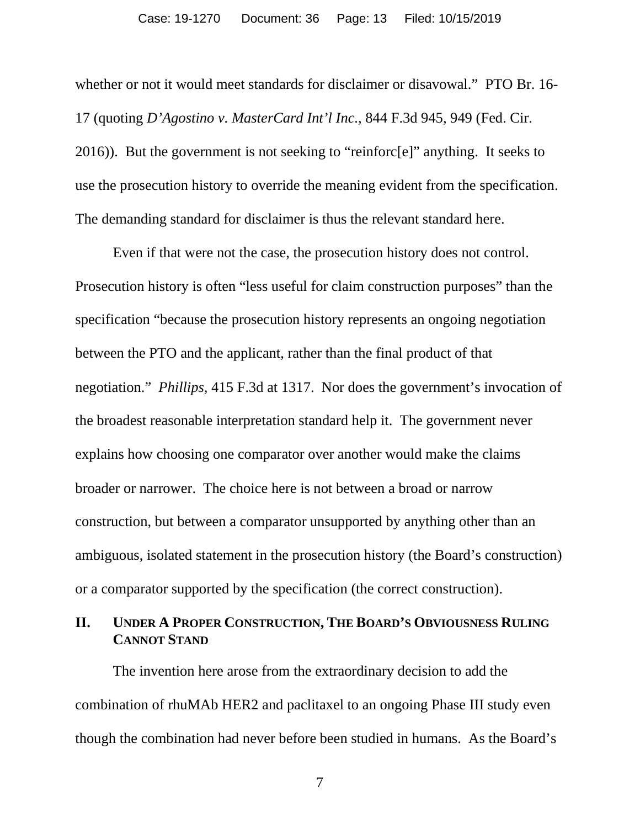whether or not it would meet standards for disclaimer or disavowal." PTO Br. 16- 17 (quoting *D'Agostino v. MasterCard Int'l Inc*., 844 F.3d 945, 949 (Fed. Cir. 2016)). But the government is not seeking to "reinforc[e]" anything. It seeks to use the prosecution history to override the meaning evident from the specification. The demanding standard for disclaimer is thus the relevant standard here.

Even if that were not the case, the prosecution history does not control. Prosecution history is often "less useful for claim construction purposes" than the specification "because the prosecution history represents an ongoing negotiation between the PTO and the applicant, rather than the final product of that negotiation." *Phillips*, 415 F.3d at 1317. Nor does the government's invocation of the broadest reasonable interpretation standard help it. The government never explains how choosing one comparator over another would make the claims broader or narrower. The choice here is not between a broad or narrow construction, but between a comparator unsupported by anything other than an ambiguous, isolated statement in the prosecution history (the Board's construction) or a comparator supported by the specification (the correct construction).

#### <span id="page-12-0"></span>**II. UNDER A PROPER CONSTRUCTION, THE BOARD'S OBVIOUSNESS RULING CANNOT STAND**

The invention here arose from the extraordinary decision to add the combination of rhuMAb HER2 and paclitaxel to an ongoing Phase III study even though the combination had never before been studied in humans. As the Board's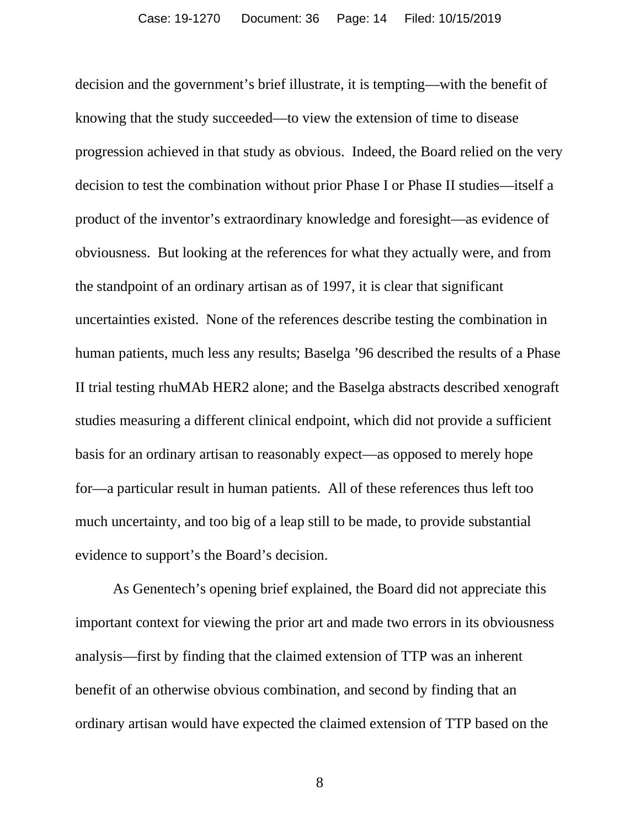decision and the government's brief illustrate, it is tempting—with the benefit of knowing that the study succeeded—to view the extension of time to disease progression achieved in that study as obvious. Indeed, the Board relied on the very decision to test the combination without prior Phase I or Phase II studies—itself a product of the inventor's extraordinary knowledge and foresight—as evidence of obviousness. But looking at the references for what they actually were, and from the standpoint of an ordinary artisan as of 1997, it is clear that significant uncertainties existed. None of the references describe testing the combination in human patients, much less any results; Baselga '96 described the results of a Phase II trial testing rhuMAb HER2 alone; and the Baselga abstracts described xenograft studies measuring a different clinical endpoint, which did not provide a sufficient basis for an ordinary artisan to reasonably expect—as opposed to merely hope for—a particular result in human patients. All of these references thus left too much uncertainty, and too big of a leap still to be made, to provide substantial evidence to support's the Board's decision.

As Genentech's opening brief explained, the Board did not appreciate this important context for viewing the prior art and made two errors in its obviousness analysis—first by finding that the claimed extension of TTP was an inherent benefit of an otherwise obvious combination, and second by finding that an ordinary artisan would have expected the claimed extension of TTP based on the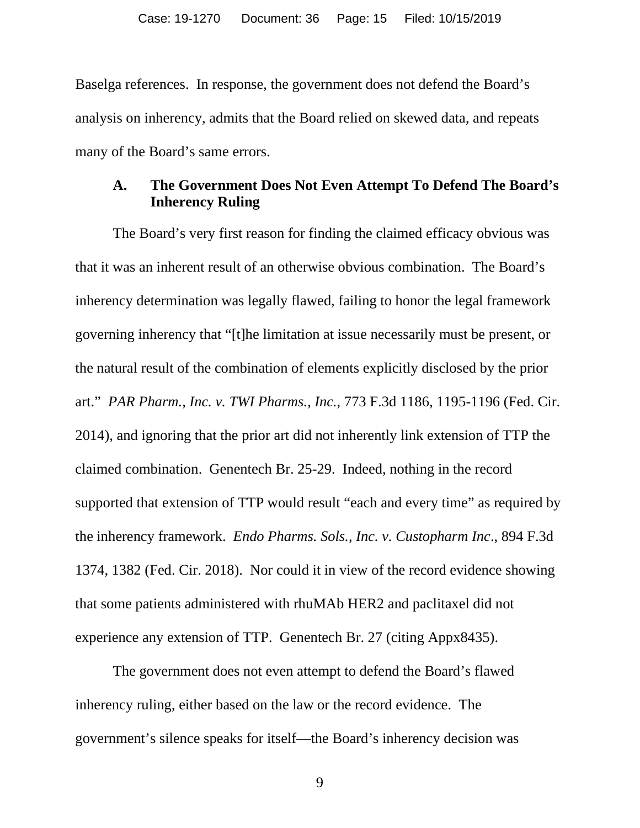Baselga references. In response, the government does not defend the Board's analysis on inherency, admits that the Board relied on skewed data, and repeats many of the Board's same errors.

#### <span id="page-14-0"></span>**A. The Government Does Not Even Attempt To Defend The Board's Inherency Ruling**

The Board's very first reason for finding the claimed efficacy obvious was that it was an inherent result of an otherwise obvious combination. The Board's inherency determination was legally flawed, failing to honor the legal framework governing inherency that "[t]he limitation at issue necessarily must be present, or the natural result of the combination of elements explicitly disclosed by the prior art." *PAR Pharm., Inc. v. TWI Pharms., Inc.*, 773 F.3d 1186, 1195-1196 (Fed. Cir. 2014), and ignoring that the prior art did not inherently link extension of TTP the claimed combination. Genentech Br. 25-29. Indeed, nothing in the record supported that extension of TTP would result "each and every time" as required by the inherency framework. *Endo Pharms. Sols., Inc. v. Custopharm Inc*., 894 F.3d 1374, 1382 (Fed. Cir. 2018). Nor could it in view of the record evidence showing that some patients administered with rhuMAb HER2 and paclitaxel did not experience any extension of TTP. Genentech Br. 27 (citing Appx8435).

The government does not even attempt to defend the Board's flawed inherency ruling, either based on the law or the record evidence. The government's silence speaks for itself—the Board's inherency decision was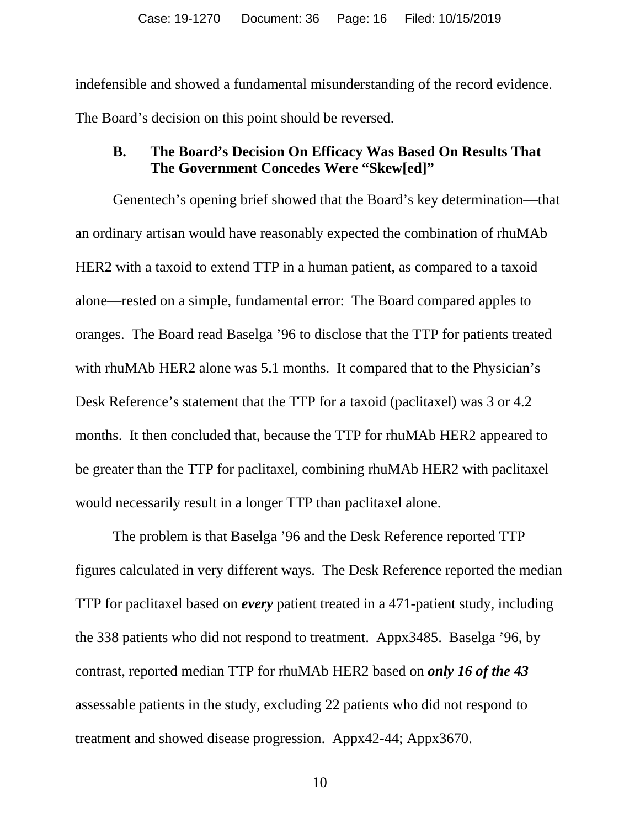indefensible and showed a fundamental misunderstanding of the record evidence. The Board's decision on this point should be reversed.

#### <span id="page-15-0"></span>**B. The Board's Decision On Efficacy Was Based On Results That The Government Concedes Were "Skew[ed]"**

Genentech's opening brief showed that the Board's key determination—that an ordinary artisan would have reasonably expected the combination of rhuMAb HER2 with a taxoid to extend TTP in a human patient, as compared to a taxoid alone—rested on a simple, fundamental error: The Board compared apples to oranges. The Board read Baselga '96 to disclose that the TTP for patients treated with rhuMAb HER2 alone was 5.1 months. It compared that to the Physician's Desk Reference's statement that the TTP for a taxoid (paclitaxel) was 3 or 4.2 months. It then concluded that, because the TTP for rhuMAb HER2 appeared to be greater than the TTP for paclitaxel, combining rhuMAb HER2 with paclitaxel would necessarily result in a longer TTP than paclitaxel alone.

The problem is that Baselga '96 and the Desk Reference reported TTP figures calculated in very different ways. The Desk Reference reported the median TTP for paclitaxel based on *every* patient treated in a 471-patient study, including the 338 patients who did not respond to treatment. Appx3485. Baselga '96, by contrast, reported median TTP for rhuMAb HER2 based on *only 16 of the 43* assessable patients in the study, excluding 22 patients who did not respond to treatment and showed disease progression. Appx42-44; Appx3670.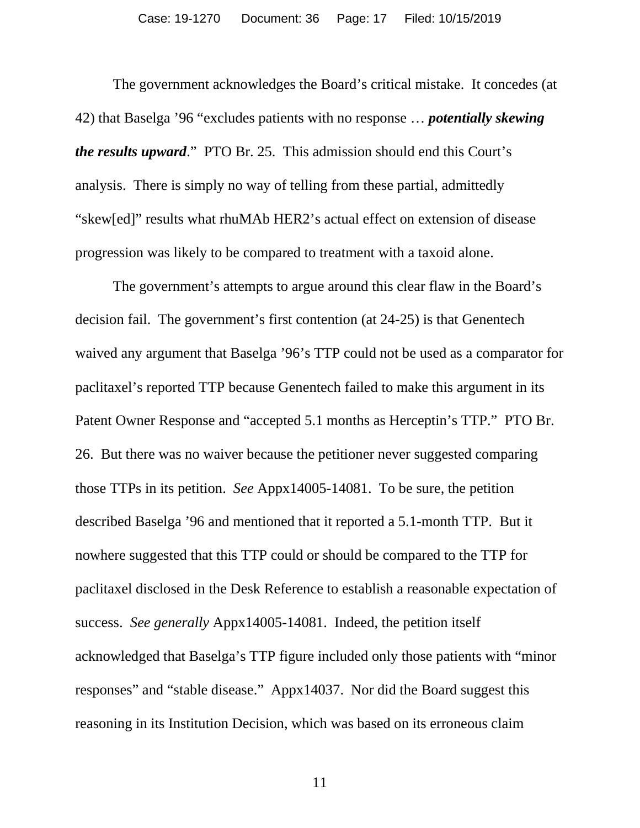The government acknowledges the Board's critical mistake. It concedes (at 42) that Baselga '96 "excludes patients with no response … *potentially skewing the results upward*." PTO Br. 25. This admission should end this Court's analysis. There is simply no way of telling from these partial, admittedly "skew[ed]" results what rhuMAb HER2's actual effect on extension of disease progression was likely to be compared to treatment with a taxoid alone.

The government's attempts to argue around this clear flaw in the Board's decision fail. The government's first contention (at 24-25) is that Genentech waived any argument that Baselga '96's TTP could not be used as a comparator for paclitaxel's reported TTP because Genentech failed to make this argument in its Patent Owner Response and "accepted 5.1 months as Herceptin's TTP." PTO Br. 26. But there was no waiver because the petitioner never suggested comparing those TTPs in its petition. *See* Appx14005-14081. To be sure, the petition described Baselga '96 and mentioned that it reported a 5.1-month TTP. But it nowhere suggested that this TTP could or should be compared to the TTP for paclitaxel disclosed in the Desk Reference to establish a reasonable expectation of success. *See generally* Appx14005-14081. Indeed, the petition itself acknowledged that Baselga's TTP figure included only those patients with "minor responses" and "stable disease." Appx14037. Nor did the Board suggest this reasoning in its Institution Decision, which was based on its erroneous claim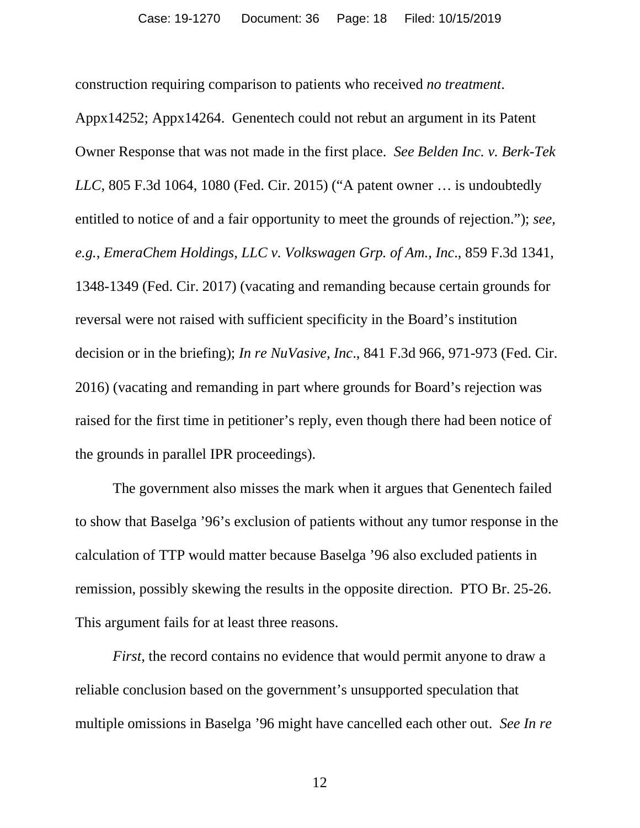construction requiring comparison to patients who received *no treatment*.

Appx14252; Appx14264. Genentech could not rebut an argument in its Patent Owner Response that was not made in the first place. *See Belden Inc. v. Berk-Tek LLC*, 805 F.3d 1064, 1080 (Fed. Cir. 2015) ("A patent owner … is undoubtedly entitled to notice of and a fair opportunity to meet the grounds of rejection."); *see, e.g.*, *EmeraChem Holdings, LLC v. Volkswagen Grp. of Am., Inc*., 859 F.3d 1341, 1348-1349 (Fed. Cir. 2017) (vacating and remanding because certain grounds for reversal were not raised with sufficient specificity in the Board's institution decision or in the briefing); *In re NuVasive, Inc*., 841 F.3d 966, 971-973 (Fed. Cir. 2016) (vacating and remanding in part where grounds for Board's rejection was raised for the first time in petitioner's reply, even though there had been notice of the grounds in parallel IPR proceedings).

The government also misses the mark when it argues that Genentech failed to show that Baselga '96's exclusion of patients without any tumor response in the calculation of TTP would matter because Baselga '96 also excluded patients in remission, possibly skewing the results in the opposite direction. PTO Br. 25-26. This argument fails for at least three reasons.

*First*, the record contains no evidence that would permit anyone to draw a reliable conclusion based on the government's unsupported speculation that multiple omissions in Baselga '96 might have cancelled each other out. *See In re*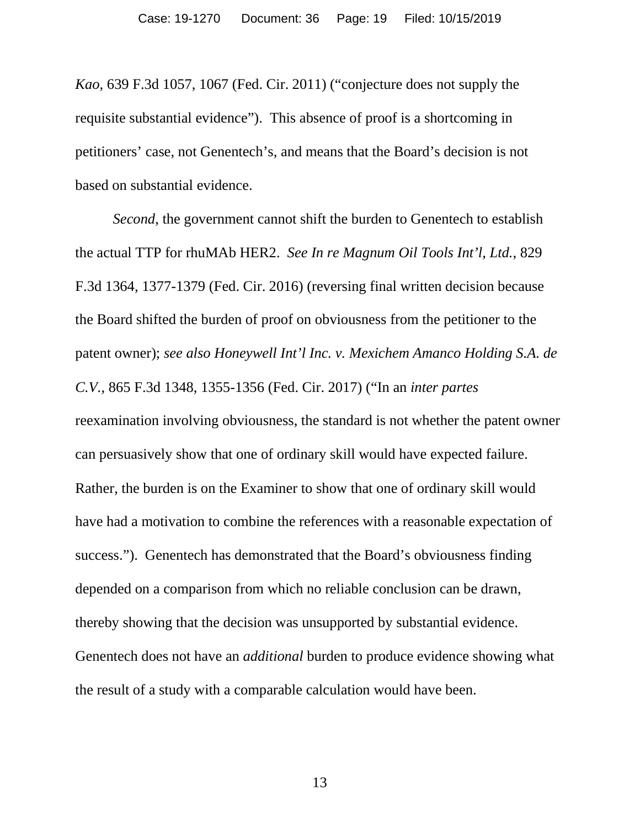*Kao*, 639 F.3d 1057, 1067 (Fed. Cir. 2011) ("conjecture does not supply the requisite substantial evidence"). This absence of proof is a shortcoming in petitioners' case, not Genentech's, and means that the Board's decision is not based on substantial evidence.

*Second*, the government cannot shift the burden to Genentech to establish the actual TTP for rhuMAb HER2. *See In re Magnum Oil Tools Int'l, Ltd.*, 829 F.3d 1364, 1377-1379 (Fed. Cir. 2016) (reversing final written decision because the Board shifted the burden of proof on obviousness from the petitioner to the patent owner); *see also Honeywell Int'l Inc. v. Mexichem Amanco Holding S.A. de C.V.*, 865 F.3d 1348, 1355-1356 (Fed. Cir. 2017) ("In an *inter partes* reexamination involving obviousness, the standard is not whether the patent owner can persuasively show that one of ordinary skill would have expected failure. Rather, the burden is on the Examiner to show that one of ordinary skill would have had a motivation to combine the references with a reasonable expectation of success."). Genentech has demonstrated that the Board's obviousness finding depended on a comparison from which no reliable conclusion can be drawn, thereby showing that the decision was unsupported by substantial evidence. Genentech does not have an *additional* burden to produce evidence showing what the result of a study with a comparable calculation would have been.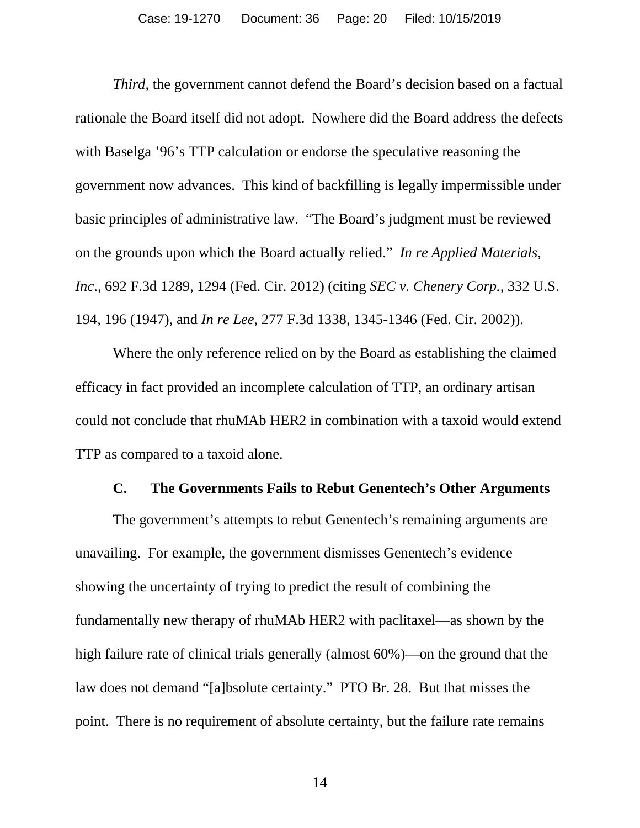*Third*, the government cannot defend the Board's decision based on a factual rationale the Board itself did not adopt. Nowhere did the Board address the defects with Baselga '96's TTP calculation or endorse the speculative reasoning the government now advances. This kind of backfilling is legally impermissible under basic principles of administrative law. "The Board's judgment must be reviewed on the grounds upon which the Board actually relied." *In re Applied Materials, Inc*., 692 F.3d 1289, 1294 (Fed. Cir. 2012) (citing *SEC v. Chenery Corp.*, 332 U.S. 194, 196 (1947), and *In re Lee*, 277 F.3d 1338, 1345-1346 (Fed. Cir. 2002)).

Where the only reference relied on by the Board as establishing the claimed efficacy in fact provided an incomplete calculation of TTP, an ordinary artisan could not conclude that rhuMAb HER2 in combination with a taxoid would extend TTP as compared to a taxoid alone.

#### **C. The Governments Fails to Rebut Genentech's Other Arguments**

<span id="page-19-0"></span>The government's attempts to rebut Genentech's remaining arguments are unavailing. For example, the government dismisses Genentech's evidence showing the uncertainty of trying to predict the result of combining the fundamentally new therapy of rhuMAb HER2 with paclitaxel—as shown by the high failure rate of clinical trials generally (almost 60%)—on the ground that the law does not demand "[a]bsolute certainty." PTO Br. 28. But that misses the point. There is no requirement of absolute certainty, but the failure rate remains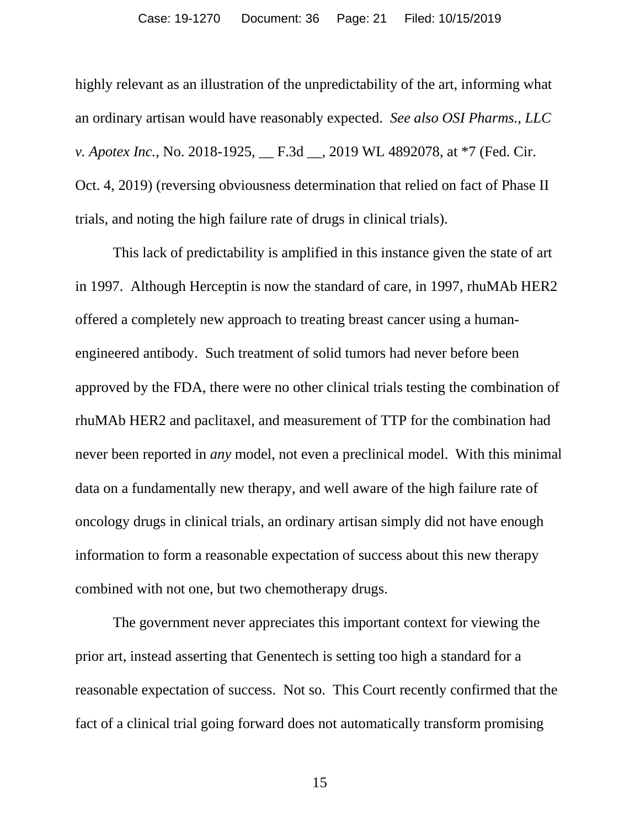highly relevant as an illustration of the unpredictability of the art, informing what an ordinary artisan would have reasonably expected. *See also OSI Pharms., LLC v. Apotex Inc.*, No. 2018-1925, \_\_ F.3d \_\_, 2019 WL 4892078, at \*7 (Fed. Cir. Oct. 4, 2019) (reversing obviousness determination that relied on fact of Phase II trials, and noting the high failure rate of drugs in clinical trials).

This lack of predictability is amplified in this instance given the state of art in 1997. Although Herceptin is now the standard of care, in 1997, rhuMAb HER2 offered a completely new approach to treating breast cancer using a humanengineered antibody. Such treatment of solid tumors had never before been approved by the FDA, there were no other clinical trials testing the combination of rhuMAb HER2 and paclitaxel, and measurement of TTP for the combination had never been reported in *any* model, not even a preclinical model. With this minimal data on a fundamentally new therapy, and well aware of the high failure rate of oncology drugs in clinical trials, an ordinary artisan simply did not have enough information to form a reasonable expectation of success about this new therapy combined with not one, but two chemotherapy drugs.

The government never appreciates this important context for viewing the prior art, instead asserting that Genentech is setting too high a standard for a reasonable expectation of success. Not so. This Court recently confirmed that the fact of a clinical trial going forward does not automatically transform promising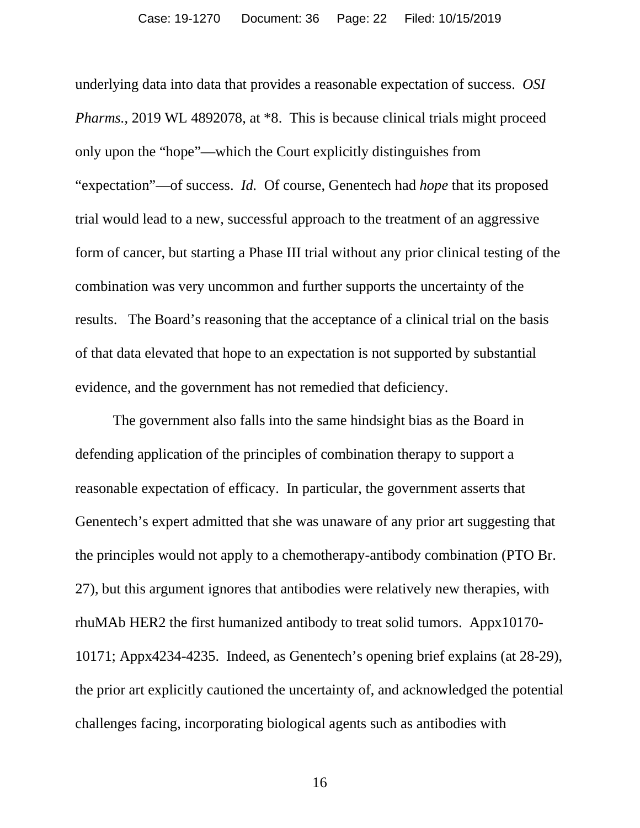underlying data into data that provides a reasonable expectation of success. *OSI Pharms.*, 2019 WL 4892078, at  $*8$ . This is because clinical trials might proceed only upon the "hope"—which the Court explicitly distinguishes from "expectation"—of success. *Id.* Of course, Genentech had *hope* that its proposed trial would lead to a new, successful approach to the treatment of an aggressive form of cancer, but starting a Phase III trial without any prior clinical testing of the combination was very uncommon and further supports the uncertainty of the results. The Board's reasoning that the acceptance of a clinical trial on the basis of that data elevated that hope to an expectation is not supported by substantial evidence, and the government has not remedied that deficiency.

The government also falls into the same hindsight bias as the Board in defending application of the principles of combination therapy to support a reasonable expectation of efficacy. In particular, the government asserts that Genentech's expert admitted that she was unaware of any prior art suggesting that the principles would not apply to a chemotherapy-antibody combination (PTO Br. 27), but this argument ignores that antibodies were relatively new therapies, with rhuMAb HER2 the first humanized antibody to treat solid tumors. Appx10170- 10171; Appx4234-4235. Indeed, as Genentech's opening brief explains (at 28-29), the prior art explicitly cautioned the uncertainty of, and acknowledged the potential challenges facing, incorporating biological agents such as antibodies with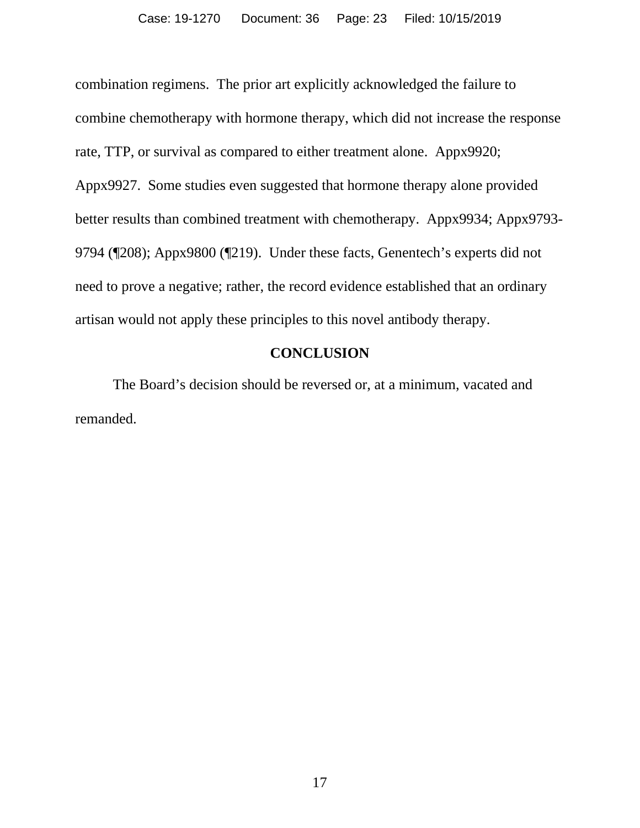combination regimens. The prior art explicitly acknowledged the failure to combine chemotherapy with hormone therapy, which did not increase the response rate, TTP, or survival as compared to either treatment alone. Appx9920; Appx9927. Some studies even suggested that hormone therapy alone provided better results than combined treatment with chemotherapy. Appx9934; Appx9793- 9794 (¶208); Appx9800 (¶219). Under these facts, Genentech's experts did not need to prove a negative; rather, the record evidence established that an ordinary artisan would not apply these principles to this novel antibody therapy.

## **CONCLUSION**

<span id="page-22-0"></span>The Board's decision should be reversed or, at a minimum, vacated and remanded.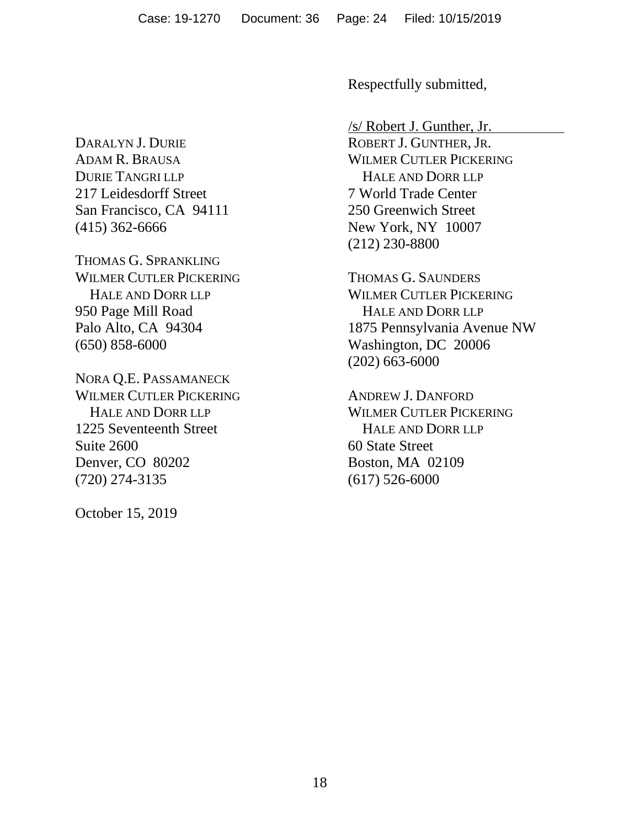DARALYN J. DURIE ADAM R. BRAUSA DURIE TANGRI LLP 217 Leidesdorff Street San Francisco, CA 94111 (415) 362-6666

THOMAS G. SPRANKLING WILMER CUTLER PICKERING HALE AND DORR LLP 950 Page Mill Road Palo Alto, CA 94304 (650) 858-6000

NORA Q.E. PASSAMANECK WILMER CUTLER PICKERING HALE AND DORR LLP 1225 Seventeenth Street Suite 2600 Denver, CO 80202 (720) 274-3135

October 15, 2019

Respectfully submitted,

/s/ Robert J. Gunther, Jr. ROBERT J. GUNTHER, JR. WILMER CUTLER PICKERING HALE AND DORR LLP 7 World Trade Center 250 Greenwich Street New York, NY 10007 (212) 230-8800

THOMAS G. SAUNDERS WILMER CUTLER PICKERING HALE AND DORR LLP 1875 Pennsylvania Avenue NW Washington, DC 20006 (202) 663-6000

ANDREW J. DANFORD WILMER CUTLER PICKERING HALE AND DORR LLP 60 State Street Boston, MA 02109 (617) 526-6000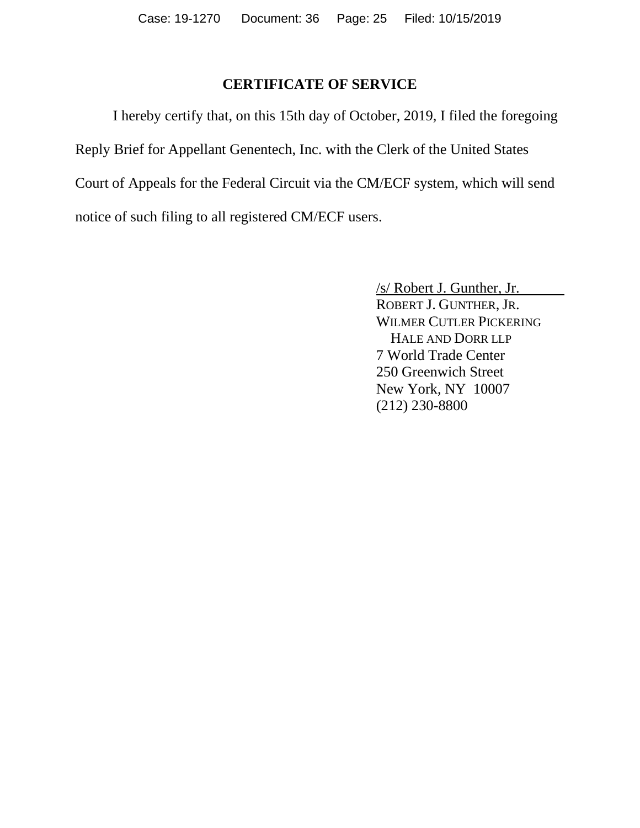#### **CERTIFICATE OF SERVICE**

I hereby certify that, on this 15th day of October, 2019, I filed the foregoing Reply Brief for Appellant Genentech, Inc. with the Clerk of the United States Court of Appeals for the Federal Circuit via the CM/ECF system, which will send notice of such filing to all registered CM/ECF users.

> /s/ Robert J. Gunther, Jr. ROBERT J. GUNTHER, JR. WILMER CUTLER PICKERING HALE AND DORR LLP 7 World Trade Center 250 Greenwich Street New York, NY 10007 (212) 230-8800